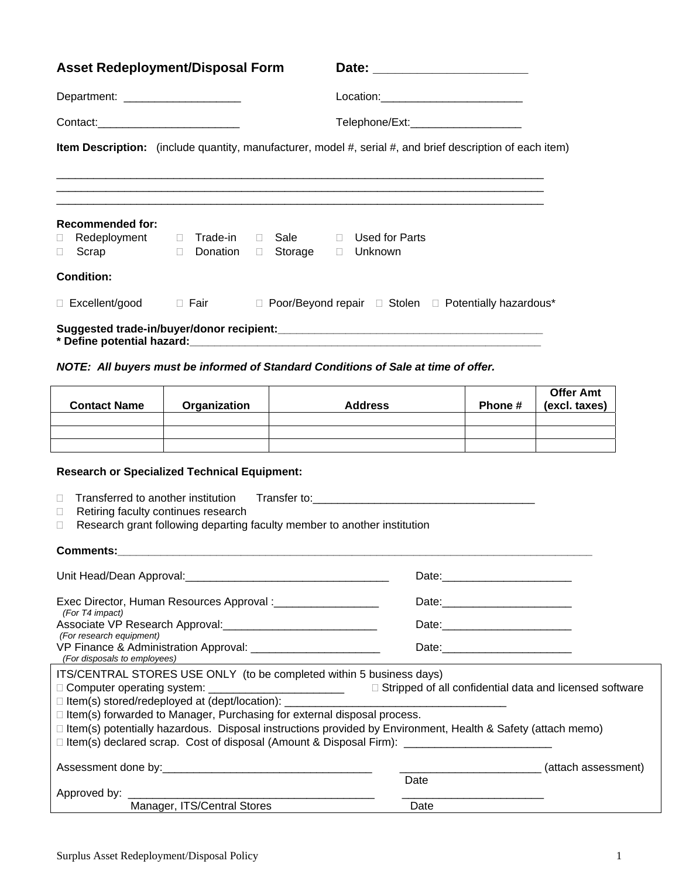| <b>Asset Redeployment/Disposal Form</b>               |              | Date: _________________________                                                                           |         |                |
|-------------------------------------------------------|--------------|-----------------------------------------------------------------------------------------------------------|---------|----------------|
| Department: _______________________                   |              | Location:____________________________                                                                     |         |                |
|                                                       |              | Telephone/Ext:______________________                                                                      |         |                |
|                                                       |              | Item Description: (include quantity, manufacturer, model #, serial #, and brief description of each item) |         |                |
|                                                       |              |                                                                                                           |         |                |
|                                                       |              |                                                                                                           |         |                |
| <b>Recommended for:</b><br>$\mathbf{L}$<br>Scrap<br>П | Donation     | □ Storage □ Unknown                                                                                       |         |                |
| <b>Condition:</b>                                     |              |                                                                                                           |         |                |
| □ Excellent/good □ Fair                               |              | $\Box$ Poor/Beyond repair $\Box$ Stolen $\Box$ Potentially hazardous*                                     |         |                |
|                                                       |              |                                                                                                           |         |                |
|                                                       |              | NOTE: All buyers must be informed of Standard Conditions of Sale at time of offer.                        |         |                |
| <b>Contact Name</b>                                   | Organization | <b>Address</b>                                                                                            | Phone # | Offe<br>(excl. |

| <b>Contact Name</b> | Organization | <b>Address</b> | Phone # | <b>Offer Amt</b><br>(excl. taxes) |
|---------------------|--------------|----------------|---------|-----------------------------------|
|                     |              |                |         |                                   |
|                     |              |                |         |                                   |
|                     |              |                |         |                                   |

## **Research or Specialized Technical Equipment:**

|  | $\Box$ Transferred to another institution | Transfer to: |
|--|-------------------------------------------|--------------|
|--|-------------------------------------------|--------------|

- Retiring faculty continues research
- □ Research grant following departing faculty member to another institution

## **Comments:\_\_\_\_\_\_\_\_\_\_\_\_\_\_\_\_\_\_\_\_\_\_\_\_\_\_\_\_\_\_\_\_\_\_\_\_\_\_\_\_\_\_\_\_\_\_\_\_\_\_\_\_\_\_\_\_\_\_\_\_\_\_\_\_\_\_\_\_\_\_\_\_\_\_\_\_\_**

| Exec Director, Human Resources Approval :_____________________<br>(For T4 impact)                                  |      |                     |  |
|--------------------------------------------------------------------------------------------------------------------|------|---------------------|--|
|                                                                                                                    |      |                     |  |
| (For research equipment)<br>(For disposals to employees)                                                           |      |                     |  |
| ITS/CENTRAL STORES USE ONLY (to be completed within 5 business days)                                               |      |                     |  |
|                                                                                                                    |      |                     |  |
|                                                                                                                    |      |                     |  |
| $\Box$ Item(s) forwarded to Manager, Purchasing for external disposal process.                                     |      |                     |  |
| $\Box$ Item(s) potentially hazardous. Disposal instructions provided by Environment, Health & Safety (attach memo) |      |                     |  |
|                                                                                                                    |      |                     |  |
| Assessment done by: Note that the set of the set of the set of the set of the set of the set of the set of the     |      | (attach assessment) |  |
|                                                                                                                    | Date |                     |  |
|                                                                                                                    |      |                     |  |
| Manager, ITS/Central Stores                                                                                        | Date |                     |  |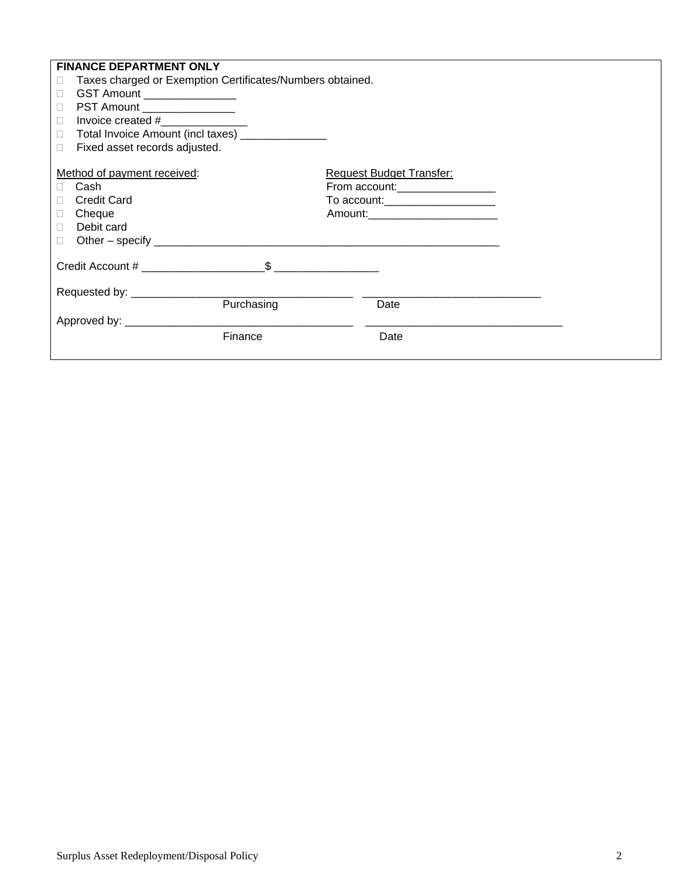| <b>FINANCE DEPARTMENT ONLY</b>                                 |                                    |
|----------------------------------------------------------------|------------------------------------|
| Taxes charged or Exemption Certificates/Numbers obtained.<br>0 |                                    |
| GST Amount ________________<br>$\Box$                          |                                    |
| PST Amount _________________<br>$\Box$                         |                                    |
| Invoice created $#$<br>$\Box$                                  |                                    |
| Total Invoice Amount (incl taxes) ______________<br>П.         |                                    |
| Fixed asset records adjusted.<br>$\Box$                        |                                    |
|                                                                |                                    |
| Method of payment received:                                    | <b>Request Budget Transfer:</b>    |
| Cash<br>П.                                                     | From account:___________________   |
| <b>Credit Card</b><br>П                                        | To account: _____________________  |
| Cheque<br>$\Box$                                               | Amount:___________________________ |
| Debit card<br>$\Box$                                           |                                    |
| $\Box$                                                         |                                    |
|                                                                |                                    |
|                                                                |                                    |
|                                                                |                                    |
|                                                                |                                    |
| Purchasing                                                     | Date                               |
| Approved by: ____________________                              |                                    |
| Finance                                                        | Date                               |
|                                                                |                                    |
|                                                                |                                    |